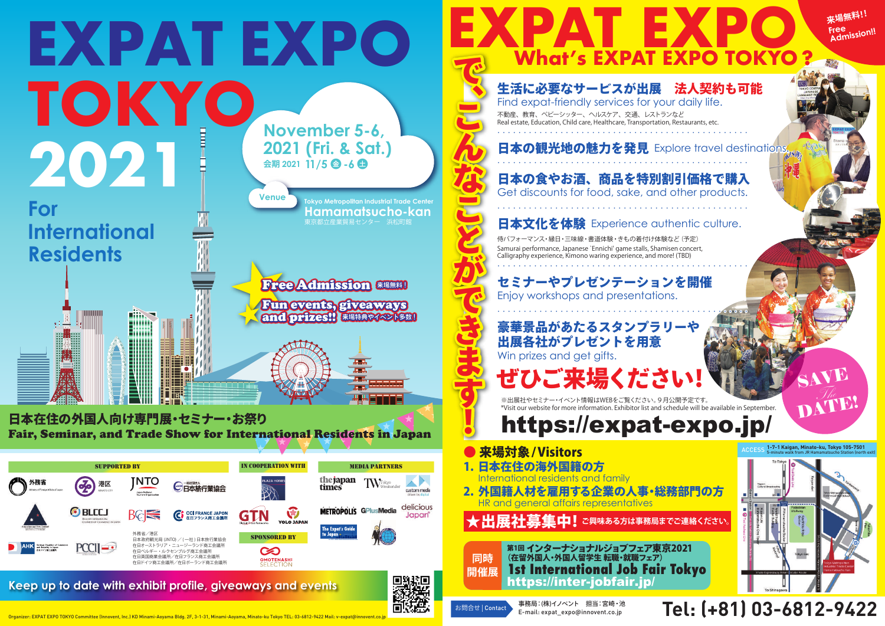

日本在住の外国人向け専門展・セミナー・お祭り Fair, Seminar, and Trade Show for International Residents in Japan

**来場無料!!** Free<br>Admission!! **AT EXPO TOKYO** 

## 日本の観光地の魅力を発見 Explore travel destinations.

Find expat-friendly services for your daily life. 不動産、教育、ベビーシッター、ヘルスケア、交通、レストランなど Real estate, Education, Child care, Healthcare, Transportation, Restaurants, etc.

**Keep up to date with exhibit profile, giveaways and events** 



Organizer: EXPAT EXPO TOKYO Committee (Innovent, Inc.) KD Minami-Aoyama Bldg. 2F, 3-1-31, Minami-Aoyama, Minato-ku Tokyo TEL: 03-6812-9422 Mail: v-expat@innovent.co.



**What's EXPAT EXPO TOKYO ?**



**EXP**

こんなこと こんなこと こうしゃ こうしゃ アイ・ファイル かんじょう こうしゃ アイ・プレート かんこうかん かんきょう かんこうかん かんこうかん かんこうかん かんこうかん かんこうかん かんこうかん かんこうかん

生活に必要なサービスが出展 法人契約も可能

- 来場対象 / Visitors
- 1. 日本在住の海外国籍の方 Iational residents and family
- 2. 外国籍人材を雇用する企業の人事・総務部門の方 HR and general affairs representatives

★出展社募集中! ご興味ある方は事務局までご連絡ください

・・・・・・・・・・・・・・・・・・・・・・・・・・・・・・・・・・・・・・・・・・・・・・・・

・・・・・・・・・・・・・・・・・・・・・・・・・・・・・・・・・・・・・・・・・・・・・・・・ 日本の食やお酒、商品を特別割引価格で購入

Get discounts for food, sake, and other products.

**日本文化を体験** Experience authentic culture.

・・・・・・・・・・・・・・・・・・・・・・・・・・・・・・・・・・・・・・・・・・・・・・・・

侍パフォーマンス・縁日・三味線・書道体験・きもの着付け体験など(予定) Samurai performance, Japanese `Ennichi' game stalls, Shamisen concert, Calligraphy experience, Kimono waring experience, and more! (TBD)

・・・・・・・・・・・・・・・・・・・・・・・・・・・・・・・・・・・・・・・・・・・・・・・・

セミナーやプレゼンテーションを開催 Enjoy workshops and presentations.

・・・・・・・・・・・・・・・・・・・・・・・・・・・・・・・・・・・・・・・・・・・・・・・・

豪華景品があたるスタンプラリーや 出展各社がプレゼントを用意 Win prizes and get gifts.

ぜひご来場ください!|

※出展社やセミナー・イベント情報はWEBをご覧ください。9月公開予定です。 \*Visit our website for more information. Exhibitor list and schedule will be available in September.

https://expat-expo.jp/

**1-7-1 Kaigan, Minato-ku, Tokyo 105-7501**

DAVUEL



## Tel: (+81) 03-6812-9422

第1回 インターナショナルジョブフェア東京2021 (在留外国人・外国人留学生 転職・就職フェア) **1st International Job Fair Tokyo** https://inter-jobfair.jp/ **同時 開催展**

お問合せ | Contact 事務局:(株)イノベント 担当:宮崎・池 またのは | このある 事務局:(株) インベント